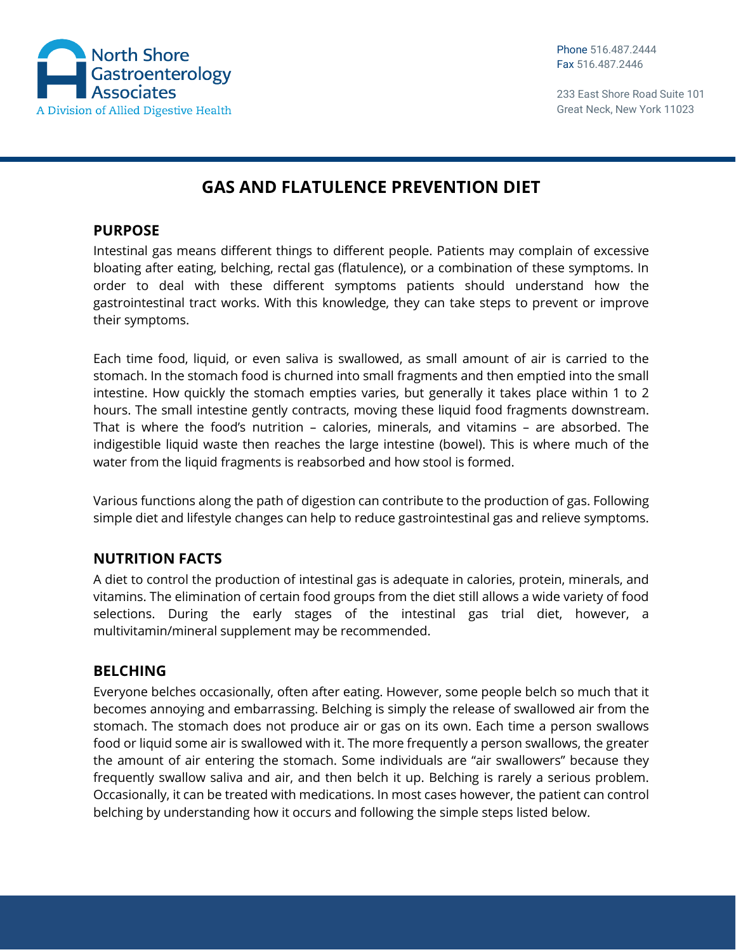

233 East Shore Road Suite 101 Great Neck, New York 11023

# **GAS AND FLATULENCE PREVENTION DIET**

#### **PURPOSE**

Intestinal gas means different things to different people. Patients may complain of excessive bloating after eating, belching, rectal gas (flatulence), or a combination of these symptoms. In order to deal with these different symptoms patients should understand how the gastrointestinal tract works. With this knowledge, they can take steps to prevent or improve their symptoms.

Each time food, liquid, or even saliva is swallowed, as small amount of air is carried to the stomach. In the stomach food is churned into small fragments and then emptied into the small intestine. How quickly the stomach empties varies, but generally it takes place within 1 to 2 hours. The small intestine gently contracts, moving these liquid food fragments downstream. That is where the food's nutrition – calories, minerals, and vitamins – are absorbed. The indigestible liquid waste then reaches the large intestine (bowel). This is where much of the water from the liquid fragments is reabsorbed and how stool is formed.

Various functions along the path of digestion can contribute to the production of gas. Following simple diet and lifestyle changes can help to reduce gastrointestinal gas and relieve symptoms.

# **NUTRITION FACTS**

A diet to control the production of intestinal gas is adequate in calories, protein, minerals, and vitamins. The elimination of certain food groups from the diet still allows a wide variety of food selections. During the early stages of the intestinal gas trial diet, however, a multivitamin/mineral supplement may be recommended.

## **BELCHING**

Everyone belches occasionally, often after eating. However, some people belch so much that it becomes annoying and embarrassing. Belching is simply the release of swallowed air from the stomach. The stomach does not produce air or gas on its own. Each time a person swallows food or liquid some air is swallowed with it. The more frequently a person swallows, the greater the amount of air entering the stomach. Some individuals are "air swallowers" because they frequently swallow saliva and air, and then belch it up. Belching is rarely a serious problem. Occasionally, it can be treated with medications. In most cases however, the patient can control belching by understanding how it occurs and following the simple steps listed below.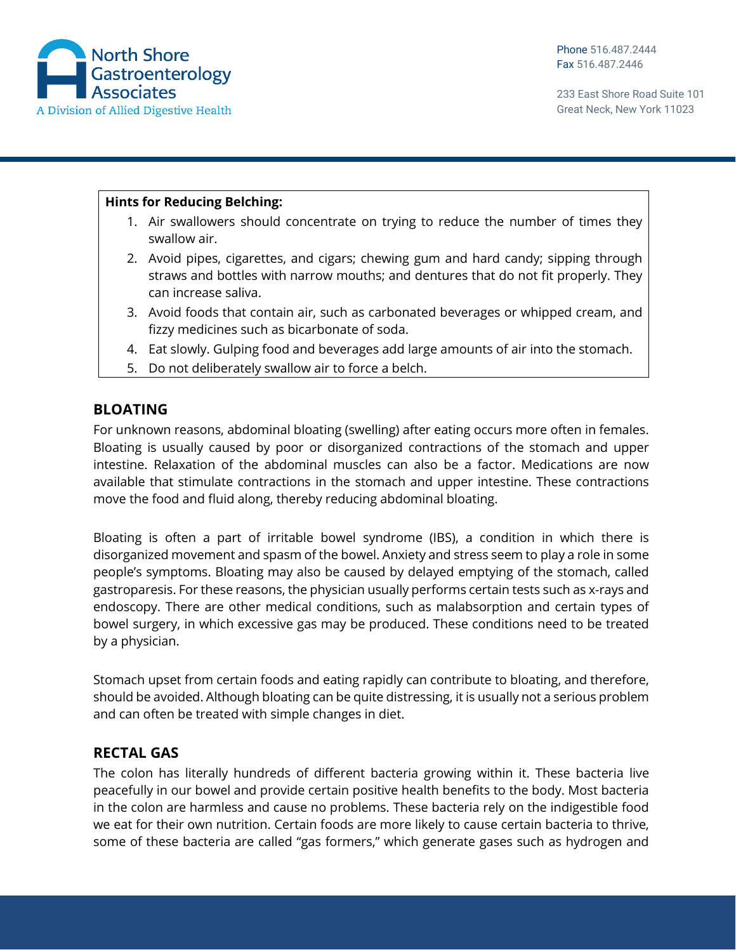

#### **Hints for Reducing Belching:**

- 1. Air swallowers should concentrate on trying to reduce the number of times they swallow air.
- 2. Avoid pipes, cigarettes, and cigars; chewing gum and hard candy; sipping through straws and bottles with narrow mouths; and dentures that do not fit properly. They can increase saliva.
- 3. Avoid foods that contain air, such as carbonated beverages or whipped cream, and fizzy medicines such as bicarbonate of soda.
- 4. Eat slowly. Gulping food and beverages add large amounts of air into the stomach.
- 5. Do not deliberately swallow air to force a belch.

## **BLOATING**

For unknown reasons, abdominal bloating (swelling) after eating occurs more often in females. Bloating is usually caused by poor or disorganized contractions of the stomach and upper intestine. Relaxation of the abdominal muscles can also be a factor. Medications are now available that stimulate contractions in the stomach and upper intestine. These contractions move the food and fluid along, thereby reducing abdominal bloating.

Bloating is often a part of irritable bowel syndrome (IBS), a condition in which there is disorganized movement and spasm of the bowel. Anxiety and stress seem to play a role in some people's symptoms. Bloating may also be caused by delayed emptying of the stomach, called gastroparesis. For these reasons, the physician usually performs certain tests such as x-rays and endoscopy. There are other medical conditions, such as malabsorption and certain types of bowel surgery, in which excessive gas may be produced. These conditions need to be treated by a physician.

Stomach upset from certain foods and eating rapidly can contribute to bloating, and therefore, should be avoided. Although bloating can be quite distressing, it is usually not a serious problem and can often be treated with simple changes in diet.

## **RECTAL GAS**

The colon has literally hundreds of different bacteria growing within it. These bacteria live peacefully in our bowel and provide certain positive health benefits to the body. Most bacteria in the colon are harmless and cause no problems. These bacteria rely on the indigestible food we eat for their own nutrition. Certain foods are more likely to cause certain bacteria to thrive, some of these bacteria are called "gas formers," which generate gases such as hydrogen and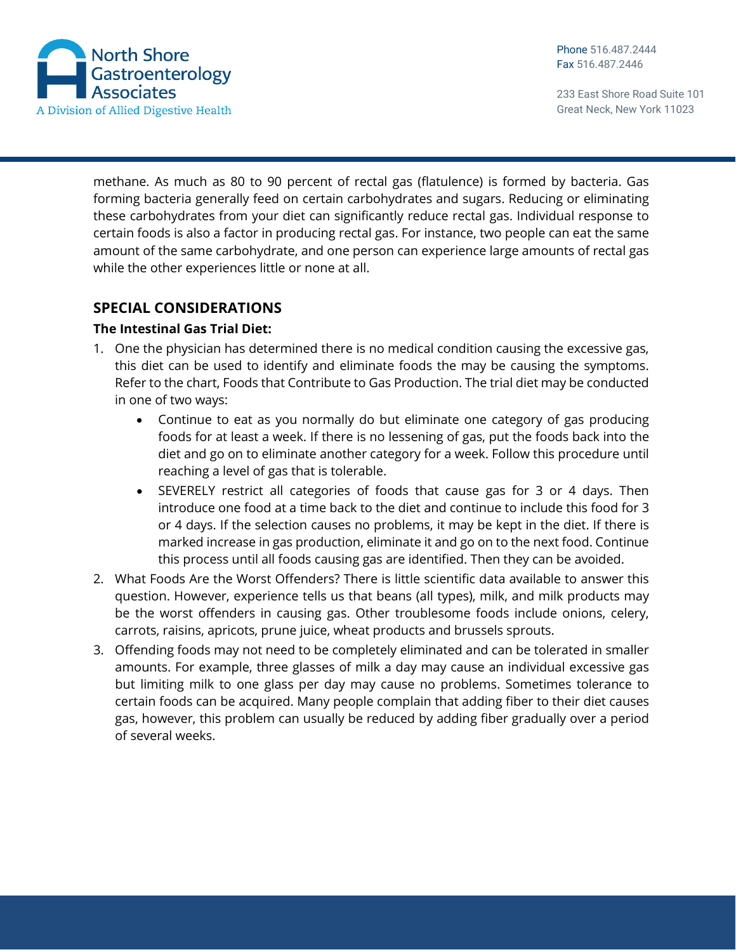

233 East Shore Road Suite 101 Great Neck, New York 11023

methane. As much as 80 to 90 percent of rectal gas (flatulence) is formed by bacteria. Gas forming bacteria generally feed on certain carbohydrates and sugars. Reducing or eliminating these carbohydrates from your diet can significantly reduce rectal gas. Individual response to certain foods is also a factor in producing rectal gas. For instance, two people can eat the same amount of the same carbohydrate, and one person can experience large amounts of rectal gas while the other experiences little or none at all.

## **SPECIAL CONSIDERATIONS**

#### **The Intestinal Gas Trial Diet:**

- 1. One the physician has determined there is no medical condition causing the excessive gas, this diet can be used to identify and eliminate foods the may be causing the symptoms. Refer to the chart, Foods that Contribute to Gas Production. The trial diet may be conducted in one of two ways:
	- Continue to eat as you normally do but eliminate one category of gas producing foods for at least a week. If there is no lessening of gas, put the foods back into the diet and go on to eliminate another category for a week. Follow this procedure until reaching a level of gas that is tolerable.
	- SEVERELY restrict all categories of foods that cause gas for 3 or 4 days. Then introduce one food at a time back to the diet and continue to include this food for 3 or 4 days. If the selection causes no problems, it may be kept in the diet. If there is marked increase in gas production, eliminate it and go on to the next food. Continue this process until all foods causing gas are identified. Then they can be avoided.
- 2. What Foods Are the Worst Offenders? There is little scientific data available to answer this question. However, experience tells us that beans (all types), milk, and milk products may be the worst offenders in causing gas. Other troublesome foods include onions, celery, carrots, raisins, apricots, prune juice, wheat products and brussels sprouts.
- 3. Offending foods may not need to be completely eliminated and can be tolerated in smaller amounts. For example, three glasses of milk a day may cause an individual excessive gas but limiting milk to one glass per day may cause no problems. Sometimes tolerance to certain foods can be acquired. Many people complain that adding fiber to their diet causes gas, however, this problem can usually be reduced by adding fiber gradually over a period of several weeks.